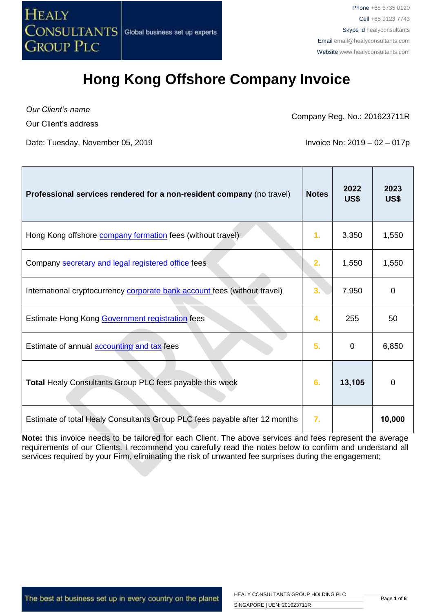

*Our Client's name* Our Client's address

Company Reg. No.: 201623711R

Date: Tuesday, November 05, 2019 **Invoice No: 2019** - 02 – 017p

| Professional services rendered for a non-resident company (no travel)      | <b>Notes</b>     | 2022<br>US\$ | 2023<br>US\$ |
|----------------------------------------------------------------------------|------------------|--------------|--------------|
| Hong Kong offshore <b>company formation</b> fees (without travel)          | 1.               | 3,350        | 1,550        |
| Company secretary and legal registered office fees                         | 2.               | 1,550        | 1,550        |
| International cryptocurrency corporate bank account fees (without travel)  | 3.               | 7,950        | 0            |
| Estimate Hong Kong Government registration fees                            | 4.               | 255          | 50           |
| Estimate of annual <b>accounting and tax</b> fees                          | 5.               | 0            | 6,850        |
| Total Healy Consultants Group PLC fees payable this week                   | 6.               | 13,105       | $\Omega$     |
| Estimate of total Healy Consultants Group PLC fees payable after 12 months | $\overline{7}$ . |              | 10,000       |

**Note:** this invoice needs to be tailored for each Client. The above services and fees represent the average requirements of our Clients. I recommend you carefully read the notes below to confirm and understand all services required by your Firm, eliminating the risk of unwanted fee surprises during the engagement;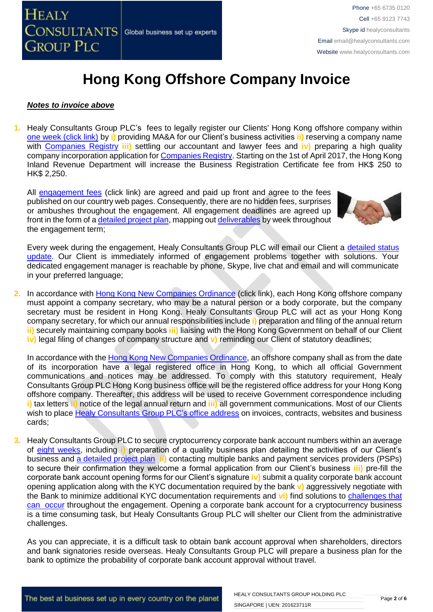

#### *Notes to invoice above*

**1.** Healy Consultants Group PLC's fees to legally register our Clients' Hong Kong offshore company within [one week \(click link\)](http://www.healyconsultants.com/hong-kong-company-registration/incorporation-steps/) by **i)** providing MA&A for our Client's business activities **ii)** reserving a company name with [Companies Registry](http://www.cr.gov.hk/en/public/services.htm) **iii)** settling our accountant and lawyer fees and **iv)** preparing a high quality company incorporation application fo[r Companies Registry.](http://www.cr.gov.hk/en/public/services.htm) Starting on the 1st of April 2017, the Hong Kong Inland Revenue Department will increase the Business Registration Certificate fee from HK\$ 250 to HK\$ 2,250.

All [engagement fees](http://www.healyconsultants.com/company-registration-fees/) (click link) are agreed and paid up front and agree to the fees published on our country web pages. Consequently, there are no hidden fees, surprises or ambushes throughout the engagement. All engagement deadlines are agreed up front in the form of [a detailed project plan,](http://www.healyconsultants.com/index-important-links/example-project-plan/) mapping ou[t deliverables](http://www.healyconsultants.com/deliverables-to-our-clients/) by week throughout the engagement term;



Every week during the engagement, Healy Consultants Group PLC will email our Client a detailed status [update.](http://www.healyconsultants.com/index-important-links/weekly-engagement-status-email/) Our Client is immediately informed of engagement problems together with solutions. Your dedicated engagement manager is reachable by phone, Skype, live chat and email and will communicate in your preferred language;

**2.** In accordance with [Hong Kong New Companies Ordinance](http://www.cr.gov.hk/en/companies_ordinance/docs/NewCO_C622_HL_FullVersion-e.pdf) (click link), each Hong Kong offshore company must appoint a company secretary, who may be a natural person or a body corporate, but the company secretary must be resident in Hong Kong. Healy Consultants Group PLC will act as your Hong Kong company secretary, for which our annual responsibilities include **i)** preparation and filing of the annual return **ii)** securely maintaining company books **iii)** liaising with the Hong Kong Government on behalf of our Client **iv)** legal filing of changes of company structure and **v)** reminding our Client of statutory deadlines;

In accordance with the [Hong Kong New Companies Ordinance,](http://www.cr.gov.hk/en/companies_ordinance/docs/NewCO_C622_HL_FullVersion-e.pdf) an offshore company shall as from the date of its incorporation have a legal registered office in Hong Kong, to which all official Government communications and notices may be addressed. To comply with this statutory requirement, Healy Consultants Group PLC Hong Kong business office will be the registered office address for your Hong Kong offshore company. Thereafter, this address will be used to receive Government correspondence including **i)** tax letters **ii)** notice of the legal annual return and **iii)** all government communications. Most of our Clients wish to place [Healy Consultants Group PLC's](http://www.healyconsultants.com/corporate-outsourcing-services/company-secretary-and-legal-registered-office/) office address on invoices, contracts, websites and business cards;

**3.** Healy Consultants Group PLC to secure cryptocurrency corporate bank account numbers within an average of [eight weeks,](http://www.healyconsultants.com/international-banking/bitcoin-business-bank-account/) including **i)** preparation of a quality business plan detailing the activities of our Client's business and [a detailed project plan](http://www.healyconsultants.com/index-important-links/example-project-plan/) **ii)** contacting multiple banks and payment services providers (PSPs) to secure their confirmation they welcome a formal application from our Client's business **iii)** pre-fill the corporate bank account opening forms for our Client's signature **iv)** submit a quality corporate bank account opening application along with the KYC documentation required by the bank **v)** aggressively negotiate with the Bank to minimize additional KYC documentation requirements and **vi)** find solutions to [challenges that](http://www.healyconsultants.com/engagement-project-management/)  [can occur](http://www.healyconsultants.com/engagement-project-management/) throughout the engagement. Opening a corporate bank account for a cryptocurrency business is a time consuming task, but Healy Consultants Group PLC will shelter our Client from the administrative challenges.

As you can appreciate, it is a difficult task to obtain bank account approval when shareholders, directors and bank signatories reside overseas. Healy Consultants Group PLC will prepare a business plan for the bank to optimize the probability of corporate bank account approval without travel.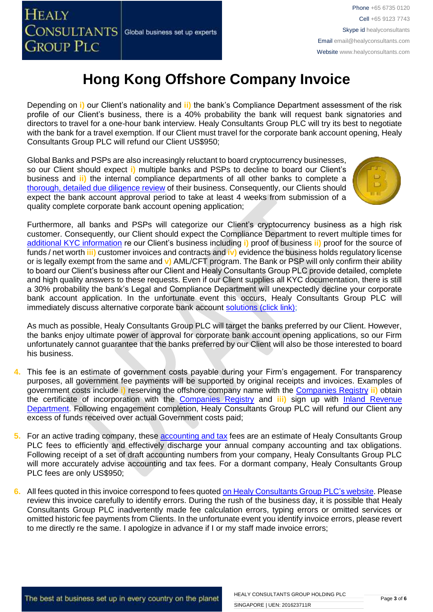Depending on **i)** our Client's nationality and **ii)** the bank's Compliance Department assessment of the risk profile of our Client's business, there is a 40% probability the bank will request bank signatories and directors to travel for a one-hour bank interview. Healy Consultants Group PLC will try its best to negotiate with the bank for a travel exemption. If our Client must travel for the corporate bank account opening, Healy Consultants Group PLC will refund our Client US\$950;

Global Banks and PSPs are also increasingly reluctant to board cryptocurrency businesses, so our Client should expect **i)** multiple banks and PSPs to decline to board our Client's business and **ii)** the internal compliance departments of all other banks to complete a [thorough, detailed due diligence review](http://www.healyconsultants.com/international-banking/opening-corporate-bank-accounts/) of their business. Consequently, our Clients should expect the bank account approval period to take at least 4 weeks from submission of a quality complete corporate bank account opening application;



Furthermore, all banks and PSPs will categorize our Client's cryptocurrency business as a high risk customer. Consequently, our Client should expect the Compliance Department to revert multiple times for [additional KYC information](http://www.healyconsultants.com/due-diligence/) re our Client's business including **i)** proof of business **ii)** proof for the source of funds / net worth **iii)** customer invoices and contracts and **iv)** evidence the business holds regulatory license or is legally exempt from the same and **v)** AML/CFT program. The Bank or PSP will only confirm their ability to board our Client's business after our Client and Healy Consultants Group PLC provide detailed, complete and high quality answers to these requests. Even if our Client supplies all KYC documentation, there is still a 30% probability the bank's Legal and Compliance Department will unexpectedly decline your corporate bank account application. In the unfortunate event this occurs, Healy Consultants Group PLC will immediately discuss alternative corporate bank account [solutions \(click link\);](http://www.healyconsultants.com/global-corporate-banking-for-resident-company/)

As much as possible, Healy Consultants Group PLC will target the banks preferred by our Client. However, the banks enjoy ultimate power of approval for corporate bank account opening applications, so our Firm unfortunately cannot guarantee that the banks preferred by our Client will also be those interested to board his business.

- **4.** This fee is an estimate of government costs payable during your Firm's engagement. For transparency purposes, all government fee payments will be supported by original receipts and invoices. Examples of government costs include **i)** reserving the offshore company name with the [Companies Registry](http://www.cr.gov.hk/en/public/services.htm) **ii)** obtain the certificate of incorporation with the [Companies Registry](http://www.cr.gov.hk/en/public/services.htm) and **iii)** sign up with [Inland Revenue](http://www.ird.gov.hk/eng/welcome.htm)  [Department.](http://www.ird.gov.hk/eng/welcome.htm) Following engagement completion, Healy Consultants Group PLC will refund our Client any excess of funds received over actual Government costs paid;
- **5.** For an active trading company, these [accounting](http://www.healyconsultants.com/hong-kong-company-registration/accounting-legal/) and tax fees are an estimate of Healy Consultants Group PLC fees to efficiently and effectively discharge your annual company accounting and tax obligations. Following receipt of a set of draft accounting numbers from your company, Healy Consultants Group PLC will more accurately advise accounting and tax fees. For a dormant company, Healy Consultants Group PLC fees are only US\$950;
- **6.** All fees quoted in this invoice correspond to fees quoted [on Healy Consultants Group PLC's website.](http://www.healyconsultants.com/company-registration-fees/) Please review this invoice carefully to identify errors. During the rush of the business day, it is possible that Healy Consultants Group PLC inadvertently made fee calculation errors, typing errors or omitted services or omitted historic fee payments from Clients. In the unfortunate event you identify invoice errors, please revert to me directly re the same. I apologize in advance if I or my staff made invoice errors;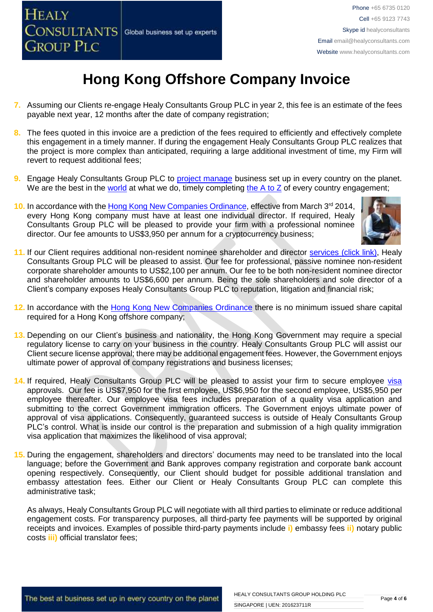- **7.** Assuming our Clients re-engage Healy Consultants Group PLC in year 2, this fee is an estimate of the fees payable next year, 12 months after the date of company registration;
- **8.** The fees quoted in this invoice are a prediction of the fees required to efficiently and effectively complete this engagement in a timely manner. If during the engagement Healy Consultants Group PLC realizes that the project is more complex than anticipated, requiring a large additional investment of time, my Firm will revert to request additional fees;
- **9.** Engage Healy Consultants Group PLC to **project manage** business set up in every country on the planet. We are the best in the [world](http://www.healyconsultants.com/best-in-the-world/) at what we do, timely completing [the A to Z](http://www.healyconsultants.com/a-to-z-of-business-set-up/) of every country engagement;
- 10. In accordance with the [Hong Kong New Companies Ordinance,](http://www.cr.gov.hk/en/companies_ordinance/docs/NewCO_C622_HL_FullVersion-e.pdf) effective from March 3<sup>rd</sup> 2014, every Hong Kong company must have at least one individual director. If required, Healy Consultants Group PLC will be pleased to provide your firm with a professional nominee director. Our fee amounts to US\$3,950 per annum for a cryptocurrency business;



- **11.** If our Client requires additional non-resident nominee shareholder and director services [\(click link\),](http://www.healyconsultants.com/corporate-outsourcing-services/nominee-shareholders-directors/) Healy Consultants Group PLC will be pleased to assist. Our fee for professional, passive nominee non-resident corporate shareholder amounts to US\$2,100 per annum. Our fee to be both non-resident nominee director and shareholder amounts to US\$6,600 per annum. Being the sole shareholders and sole director of a Client's company exposes Healy Consultants Group PLC to reputation, litigation and financial risk;
- **12.** In accordance with the [Hong Kong New Companies Ordinance](http://www.cr.gov.hk/en/companies_ordinance/docs/NewCO_C622_HL_FullVersion-e.pdf) there is no minimum issued share capital required for a Hong Kong offshore company;
- **13.** Depending on our Client's business and nationality, the Hong Kong Government may require a special regulatory license to carry on your business in the country. Healy Consultants Group PLC will assist our Client secure license approval; there may be additional engagement fees. However, the Government enjoys ultimate power of approval of company registrations and business licenses;
- 14. If required, Healy Consultants Group PLC will be pleased to assist your firm to secure employee [visa](http://www.healyconsultants.com/hong-kong-company-registration/formation-support-services/) approvals. Our fee is US\$7,950 for the first employee, US\$6,950 for the second employee, US\$5,950 per employee thereafter. Our employee visa fees includes preparation of a quality visa application and submitting to the correct Government immigration officers. The Government enjoys ultimate power of approval of visa applications. Consequently, guaranteed success is outside of Healy Consultants Group PLC's control. What is inside our control is the preparation and submission of a high quality immigration visa application that maximizes the likelihood of visa approval;
- **15.** During the engagement, shareholders and directors' documents may need to be translated into the local language; before the Government and Bank approves company registration and corporate bank account opening respectively. Consequently, our Client should budget for possible additional translation and embassy attestation fees. Either our Client or Healy Consultants Group PLC can complete this administrative task;

As always, Healy Consultants Group PLC will negotiate with all third parties to eliminate or reduce additional engagement costs. For transparency purposes, all third-party fee payments will be supported by original receipts and invoices. Examples of possible third-party payments include **i)** embassy fees **ii)** notary public costs **iii)** official translator fees;

The best at business set up in every country on the planet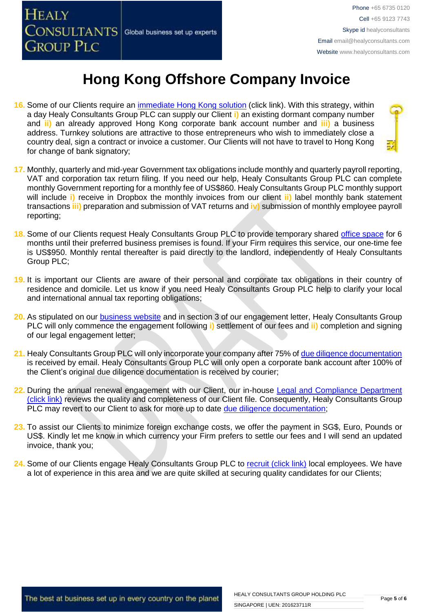

- 16. Some of our Clients require an *immediate Hong Kong solution* (click link). With this strategy, within a day Healy Consultants Group PLC can supply our Client **i)** an existing dormant company number and **ii)** an already approved Hong Kong corporate bank account number and **iii)** a business address. Turnkey solutions are attractive to those entrepreneurs who wish to immediately close a country deal, sign a contract or invoice a customer. Our Clients will not have to travel to Hong Kong for change of bank signatory;
- **17.** Monthly, quarterly and mid-year Government tax obligations include monthly and quarterly payroll reporting, VAT and corporation tax return filing. If you need our help, Healy Consultants Group PLC can complete monthly Government reporting for a monthly fee of US\$860. Healy Consultants Group PLC monthly support will include **i)** receive in Dropbox the monthly invoices from our client **ii)** label monthly bank statement transactions **iii)** preparation and submission of VAT returns and **iv)** submission of monthly employee payroll reporting;
- **18.** Some of our Clients request Healy Consultants Group PLC to provide temporary shared [office space](http://www.healyconsultants.com/virtual-office/) for 6 months until their preferred business premises is found. If your Firm requires this service, our one-time fee is US\$950. Monthly rental thereafter is paid directly to the landlord, independently of Healy Consultants Group PLC;
- **19.** It is important our Clients are aware of their personal and corporate tax obligations in their country of residence and domicile. Let us know if you need Healy Consultants Group PLC help to clarify your local and international annual tax reporting obligations;
- **20.** As stipulated on our [business website](http://www.healyconsultants.com/) and in section 3 of our engagement letter, Healy Consultants Group PLC will only commence the engagement following **i)** settlement of our fees and **ii)** completion and signing of our legal engagement letter;
- 21. Healy Consultants Group PLC will only incorporate your company after 75% of [due diligence documentation](http://www.healyconsultants.com/due-diligence/) is received by email. Healy Consultants Group PLC will only open a corporate bank account after 100% of the Client's original due diligence documentation is received by courier;
- 22. During the annual renewal engagement with our Client, our in-house Legal and Compliance Department [\(click link\)](http://www.healyconsultants.com/about-us/key-personnel/cai-xin-profile/) reviews the quality and completeness of our Client file. Consequently, Healy Consultants Group PLC may revert to our Client to ask for more up to date [due diligence documentation;](http://www.healyconsultants.com/due-diligence/)
- **23.** To assist our Clients to minimize foreign exchange costs, we offer the payment in SG\$, Euro, Pounds or US\$. Kindly let me know in which currency your Firm prefers to settle our fees and I will send an updated invoice, thank you;
- 24. Some of our Clients engage Healy Consultants Group PLC to [recruit \(click link\)](http://www.healyconsultants.com/corporate-outsourcing-services/how-we-help-our-clients-recruit-quality-employees/) local employees. We have a lot of experience in this area and we are quite skilled at securing quality candidates for our Clients;